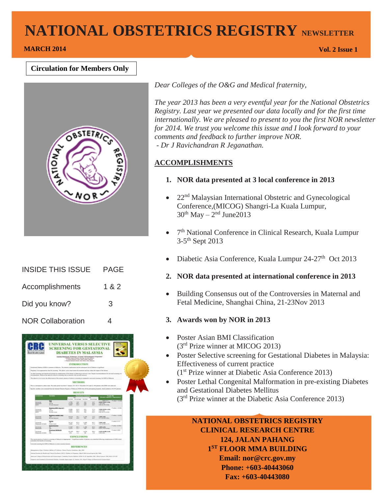# **NATIONAL OBSTETRICS REGISTRY NEWSLETTER**

# **MARCH 2014 Vol. 2 Issue 1**

### **Circulation for Members Only**



| <b>INSIDE THIS ISSUE</b> | PAGF  |
|--------------------------|-------|
| Accomplishments          | 1 & 2 |
| Did you know?            | 3     |
| <b>NOR Collaboration</b> |       |



*Dear Colleges of the O&G and Medical fraternity,*

*The year 2013 has been a very eventful year for the National Obstetrics Registry. Last year we presented our data locally and for the first time internationally. We are pleased to present to you the first NOR newsletter for 2014. We trust you welcome this issue and I look forward to your comments and feedback to further improve NOR. - Dr J Ravichandran R Jeganathan.* 

### **ACCOMPLISHMENTS**

- **1. NOR data presented at 3 local conference in 2013**
- 22nd Malaysian International Obstetric and Gynecological Conference,(MICOG) Shangri-La Kuala Lumpur,  $30<sup>th</sup>$  May –  $2<sup>nd</sup>$  June $2013$
- 7<sup>th</sup> National Conference in Clinical Research, Kuala Lumpur 3-5<sup>th</sup> Sept 2013
- Diabetic Asia Conference, Kuala Lumpur 24-27<sup>th</sup> Oct 2013
- **2. NOR data presented at international conference in 2013**
- Building Consensus out of the Controversies in Maternal and Fetal Medicine, Shanghai China, 21-23Nov 2013

### **3. Awards won by NOR in 2013**

- Poster Asian BMI Classification (3rd Prize winner at MICOG 2013)
- Poster Selective screening for Gestational Diabetes in Malaysia: Effectiveness of current practice (1st Prize winner at Diabetic Asia Conference 2013)
- Poster Lethal Congenital Malformation in pre-existing Diabetes and Gestational Diabetes Mellitus (3rd Prize winner at the Diabetic Asia Conference 2013)

# **NATIONAL OBSTETRICS REGISTRY CLINICAL RESEARCH CENTRE 124, JALAN PAHANG 1 ST FLOOR MMA BUILDING Email: nor@crc.gov.my Phone: +603-40443060**

**Fax: +603-40443080**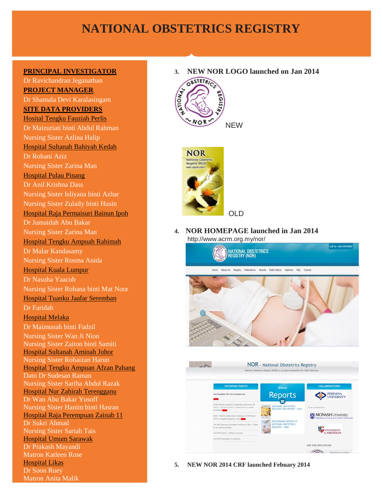# **NATIONAL OBSTETRICS REGISTRY**

#### **PRINCIPAL INVESTIGATOR**

2 Hospital Likas Dr Ravichandran Jeganathan **PROJECT MANAGER** Dr Shamala Devi Karalasingam **SITE DATA PROVIDERS** Hosital Tengku Fauziah Perlis Dr Maizuriati binti Abdul Rahman Nursing Sister Azlina Halip Hospital Sultanah Bahiyah Kedah Dr Rohani Aziz Nursing Sister Zarina Man Hospital Pulau Pinang Dr Anil Krishna Dass Nursing Sister Isliyana binti Azhar Nursing Sister Zulaily binti Husin Hospital Raja Permaisuri Bainun Ipoh Dr Jumaidah Abu Bakar Nursing Sister Zarina Man Hospital Tengku Ampuah Rahimah Dr Malar Kandasamy Nursing Sister Rosma Anida Hospital Kuala Lumpur Dr Nasuha Yaacob Nursing Sister Rohana binti Mat Noor Hospital Tuanku Jaafar Seremban Dr Faridah Hospital Melaka Dr Maimunah binti Fadzil Nursing Sister Wan Ji Nion Nursing Sister Zaiton binti Samiti Hospital Sultanah Aminah Johor Nursing Sister Rohaizan Harun Hospital Tengku Ampuan Afzan Pahang Dato Dr Sudesan Raman Nursing Sister Sariha Abdul Razak Hospital Nur Zahirah Terengganu Dr Wan Abu Bakar Yusoff Nursing Sister Hanim binti Hasran Hospital Raja Perempuan Zainab 11 Dr Sukri Ahmad Nursing Sister Sariah Tais Hospital Umum Sarawak Dr Prakash Mayandi Matron Katleen Rose Dr Soon Ruey Matron Anita Malik

**3. NEW NOR LOGO launched on Jan 2014** 





**4. NOR HOMEPAGE launched in Jan 2014** http://www.acrm.org.my/nor/





**5. NEW NOR 2014 CRF launched Febuary 2014**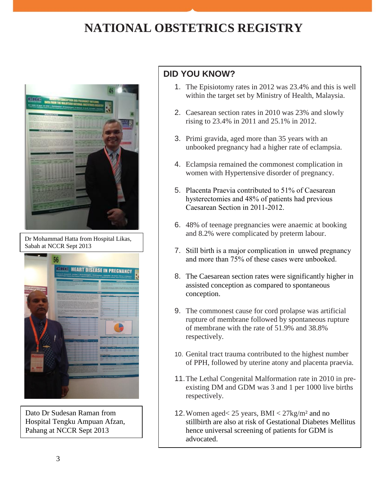# **NATIONAL OBSTETRICS REGISTRY**



Dr Mohammad Hatta from Hospital Likas, Sabah at NCCR Sept 2013



Dato Dr Sudesan Raman from Hospital Tengku Ampuan Afzan, Pahang at NCCR Sept 2013

# **DID YOU KNOW?**

- 1. The Episiotomy rates in 2012 was 23.4% and this is well within the target set by Ministry of Health, Malaysia.
- 2. Caesarean section rates in 2010 was 23% and slowly rising to 23.4% in 2011 and 25.1% in 2012.
- 3. Primi gravida, aged more than 35 years with an unbooked pregnancy had a higher rate of eclampsia.
- 4. Eclampsia remained the commonest complication in women with Hypertensive disorder of pregnancy.
- 5. Placenta Praevia contributed to 51% of Caesarean hysterectomies and 48% of patients had previous Caesarean Section in 2011-2012.
- 6. 48% of teenage pregnancies were anaemic at booking and 8.2% were complicated by preterm labour.
- 7. Still birth is a major complication in unwed pregnancy and more than 75% of these cases were unbooked.
- 8. The Caesarean section rates were significantly higher in assisted conception as compared to spontaneous conception.
- 9. The commonest cause for cord prolapse was artificial rupture of membrane followed by spontaneous rupture of membrane with the rate of 51.9% and 38.8% respectively.
- 10. Genital tract trauma contributed to the highest number of PPH, followed by uterine atony and placenta praevia.
- 11.The Lethal Congenital Malformation rate in 2010 in preexisting DM and GDM was 3 and 1 per 1000 live births respectively.
- 12.Women aged< 25 years, BMI < 27kg/m² and no stillbirth are also at risk of Gestational Diabetes Mellitus hence universal screening of patients for GDM is advocated.